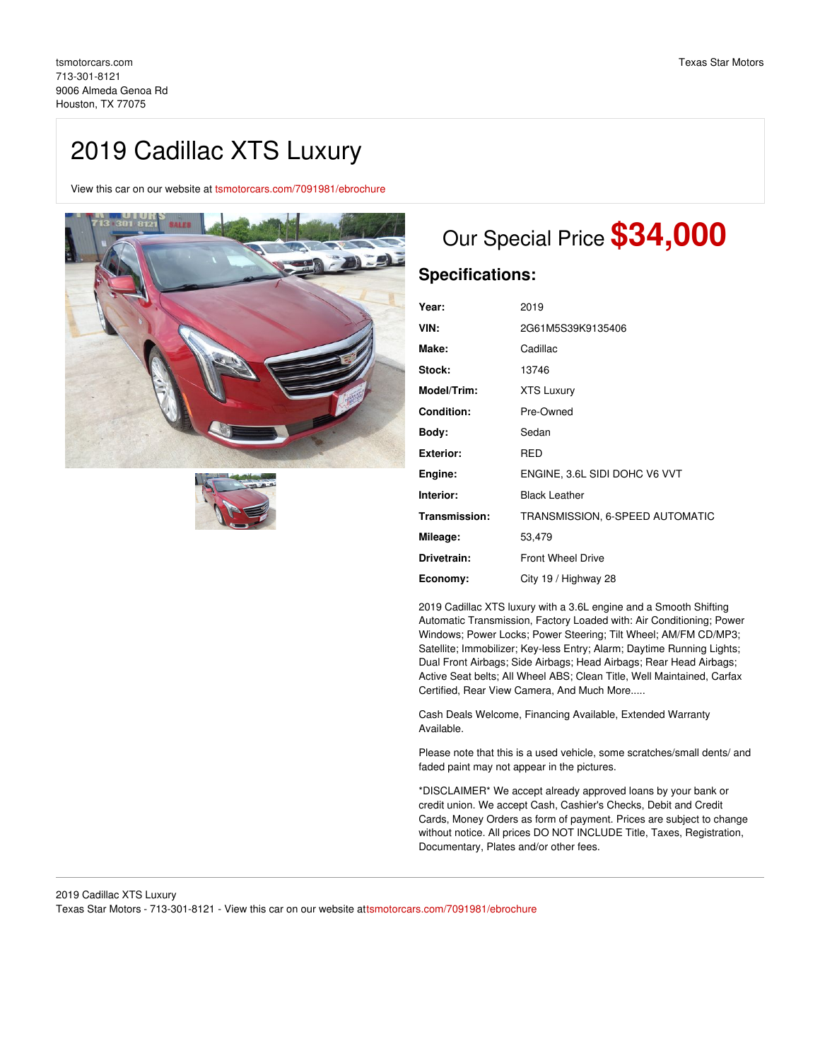# 2019 Cadillac XTS Luxury

View this car on our website at [tsmotorcars.com/7091981/ebrochure](https://tsmotorcars.com/vehicle/7091981/2019-cadillac-xts-luxury-houston-tx-77075/7091981/ebrochure)





## Our Special Price **\$34,000**

### **Specifications:**

| Year:             | 2019                            |
|-------------------|---------------------------------|
| VIN:              | 2G61M5S39K9135406               |
| Make:             | Cadillac                        |
| Stock:            | 13746                           |
| Model/Trim:       | <b>XTS Luxury</b>               |
| <b>Condition:</b> | Pre-Owned                       |
| Body:             | Sedan                           |
| <b>Exterior:</b>  | RED                             |
| Engine:           | ENGINE, 3.6L SIDI DOHC V6 VVT   |
| Interior:         | <b>Black Leather</b>            |
| Transmission:     | TRANSMISSION, 6-SPEED AUTOMATIC |
| Mileage:          | 53,479                          |
| Drivetrain:       | <b>Front Wheel Drive</b>        |
| Economy:          | City 19 / Highway 28            |

2019 Cadillac XTS luxury with a 3.6L engine and a Smooth Shifting Automatic Transmission, Factory Loaded with: Air Conditioning; Power Windows; Power Locks; Power Steering; Tilt Wheel; AM/FM CD/MP3; Satellite; Immobilizer; Key-less Entry; Alarm; Daytime Running Lights; Dual Front Airbags; Side Airbags; Head Airbags; Rear Head Airbags; Active Seat belts; All Wheel ABS; Clean Title, Well Maintained, Carfax Certified, Rear View Camera, And Much More.....

Cash Deals Welcome, Financing Available, Extended Warranty Available.

Please note that this is a used vehicle, some scratches/small dents/ and faded paint may not appear in the pictures.

\*DISCLAIMER\* We accept already approved loans by your bank or credit union. We accept Cash, Cashier's Checks, Debit and Credit Cards, Money Orders as form of payment. Prices are subject to change without notice. All prices DO NOT INCLUDE Title, Taxes, Registration, Documentary, Plates and/or other fees.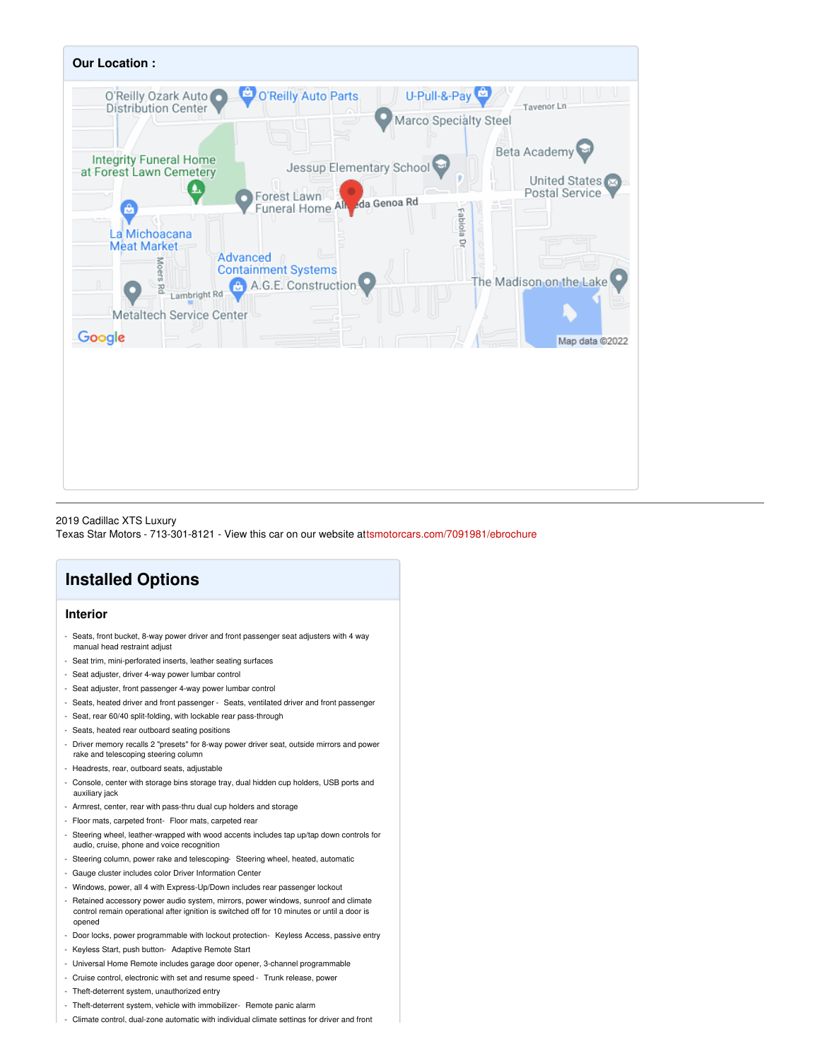

2019 Cadillac XTS Luxury Texas Star Motors - 713-301-8121 - View this car on our website at[tsmotorcars.com/7091981/ebrochure](https://tsmotorcars.com/vehicle/7091981/2019-cadillac-xts-luxury-houston-tx-77075/7091981/ebrochure)

## **Installed Options**

### **Interior**

- Seats, front bucket, 8-way power driver and front passenger seat adjusters with 4 way manual head restraint adjust
- Seat trim, mini-perforated inserts, leather seating surfaces
- Seat adjuster, driver 4-way power lumbar control
- Seat adjuster, front passenger 4-way power lumbar control
- Seats, heated driver and front passenger Seats, ventilated driver and front passenger
- Seat, rear 60/40 split-folding, with lockable rear pass-through
- Seats, heated rear outboard seating positions
- Driver memory recalls 2 "presets" for 8-way power driver seat, outside mirrors and power
- rake and telescoping steering column
- Headrests, rear, outboard seats, adjustable
- Console, center with storage bins storage tray, dual hidden cup holders, USB ports and auxiliary jack
- Armrest, center, rear with pass-thru dual cup holders and storage
- Floor mats, carpeted front- Floor mats, carpeted rear
- Steering wheel, leather-wrapped with wood accents includes tap up/tap down controls for audio, cruise, phone and voice recognition
- Steering column, power rake and telescoping- Steering wheel, heated, automatic
- Gauge cluster includes color Driver Information Center
- Windows, power, all 4 with Express-Up/Down includes rear passenger lockout
- Retained accessory power audio system, mirrors, power windows, sunroof and climate control remain operational after ignition is switched off for 10 minutes or until a door is opened
- Door locks, power programmable with lockout protection- Keyless Access, passive entry
- Keyless Start, push button- Adaptive Remote Start
- Universal Home Remote includes garage door opener, 3-channel programmable
- Cruise control, electronic with set and resume speed Trunk release, power
- Theft-deterrent system, unauthorized entry
- Theft-deterrent system, vehicle with immobilizer- Remote panic alarm
- Climate control, dual-zone automatic with individual climate settings for driver and front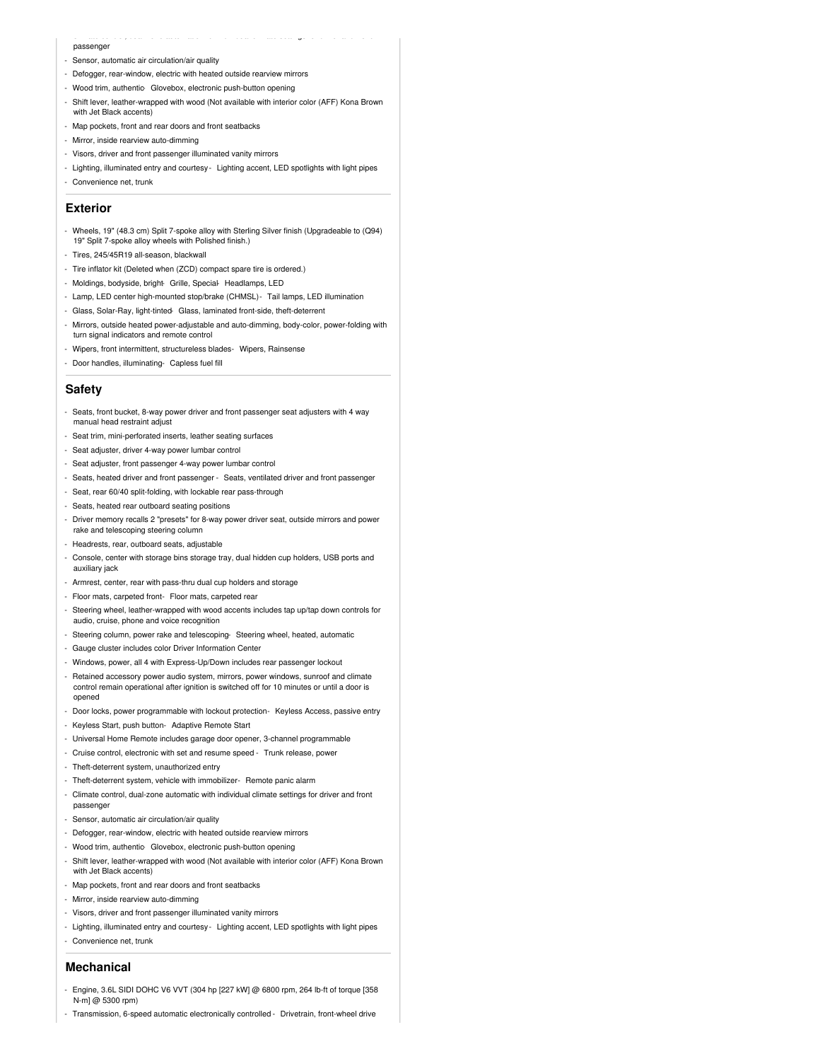#### passenger

- Sensor, automatic air circulation/air quality
- Defogger, rear-window, electric with heated outside rearview mirrors
- Wood trim, authentic- Glovebox, electronic push-button opening
- Shift lever, leather-wrapped with wood (Not available with interior color (AFF) Kona Brown with Jet Black accents)

- Climate control, dual-zone automatic with individual climate settings for driver and front

- Map pockets, front and rear doors and front seatbacks
- Mirror, inside rearview auto-dimming
- Visors, driver and front passenger illuminated vanity mirrors
- Lighting, illuminated entry and courtesy Lighting accent, LED spotlights with light pipes
- Convenience net, trunk

#### **Exterior**

- Wheels, 19" (48.3 cm) Split 7-spoke alloy with Sterling Silver finish (Upgradeable to (Q94) 19" Split 7-spoke alloy wheels with Polished finish.)
- Tires, 245/45R19 all-season, blackwall
- Tire inflator kit (Deleted when (ZCD) compact spare tire is ordered.)
- Moldings, bodyside, bright- Grille, Special- Headlamps, LED
- Lamp, LED center high-mounted stop/brake (CHMSL)- Tail lamps, LED illumination
- Glass, Solar-Ray, light-tinted- Glass, laminated front-side, theft-deterrent
- Mirrors, outside heated power-adjustable and auto-dimming, body-color, power-folding with turn signal indicators and remote control
- Wipers, front intermittent, structureless blades- Wipers, Rainsense
- Door handles, illuminating- Capless fuel fill

#### **Safety**

- Seats, front bucket, 8-way power driver and front passenger seat adjusters with 4 way manual head restraint adjust
- Seat trim, mini-perforated inserts, leather seating surfaces
- Seat adjuster, driver 4-way power lumbar control
- Seat adjuster, front passenger 4-way power lumbar control
- Seats, heated driver and front passenger Seats, ventilated driver and front passenger
- Seat, rear 60/40 split-folding, with lockable rear pass-through
- Seats, heated rear outboard seating positions
- Driver memory recalls 2 "presets" for 8-way power driver seat, outside mirrors and power rake and telescoping steering column
- Headrests, rear, outboard seats, adjustable
- Console, center with storage bins storage tray, dual hidden cup holders, USB ports and auxiliary jack
- Armrest, center, rear with pass-thru dual cup holders and storage
- Floor mats, carpeted front- Floor mats, carpeted rear
- Steering wheel, leather-wrapped with wood accents includes tap up/tap down controls for audio, cruise, phone and voice recognition
- Steering column, power rake and telescoping- Steering wheel, heated, automatic
- Gauge cluster includes color Driver Information Center
- Windows, power, all 4 with Express-Up/Down includes rear passenger lockout
- Retained accessory power audio system, mirrors, power windows, sunroof and climate control remain operational after ignition is switched off for 10 minutes or until a door is opened
- Door locks, power programmable with lockout protection- Keyless Access, passive entry
- Keyless Start, push button- Adaptive Remote Start
- Universal Home Remote includes garage door opener, 3-channel programmable
- Cruise control, electronic with set and resume speed Trunk release, power
- Theft-deterrent system, unauthorized entry
- Theft-deterrent system, vehicle with immobilizer- Remote panic alarm
- Climate control, dual-zone automatic with individual climate settings for driver and front passenger
- Sensor, automatic air circulation/air quality
- Defogger, rear-window, electric with heated outside rearview mirrors
- Wood trim, authentic- Glovebox, electronic push-button opening
- Shift lever, leather-wrapped with wood (Not available with interior color (AFF) Kona Brown with Jet Black accents)
- Map pockets, front and rear doors and front seatbacks
- Mirror, inside rearview auto-dimming
- Visors, driver and front passenger illuminated vanity mirrors
- Lighting, illuminated entry and courtesy Lighting accent, LED spotlights with light pipes
- Convenience net, trunk

#### **Mechanical**

- Engine, 3.6L SIDI DOHC V6 VVT (304 hp [227 kW] @ 6800 rpm, 264 lb-ft of torque [358 N-m] @ 5300 rpm)
- Transmission, 6-speed automatic electronically controlled Drivetrain, front-wheel drive